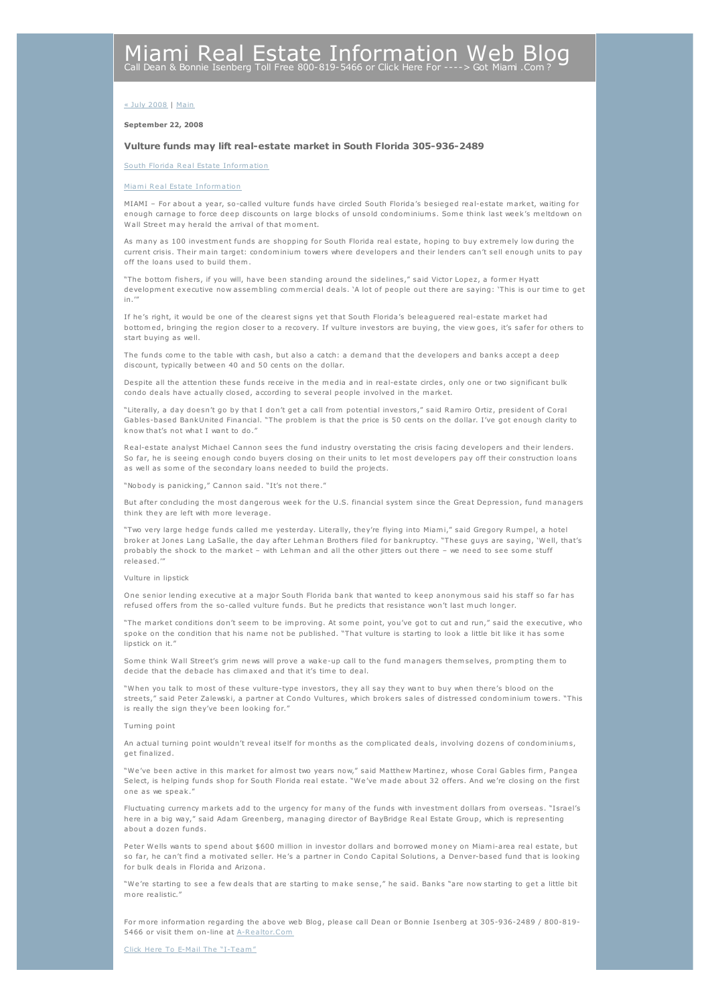### « July [2008](http://www.aventura-homes.com/realestateblog/archives/2008_07.html) | [Main](http://www.aventura-homes.com/realestateblog/)

**September 22, 2008**

# <span id="page-0-0"></span>**Vulture funds may lift real-estate market in South Florida 305-936-2489**

South Florida Real Estate [Information](http://www.a-realtor.com)

Miami Real Estate [Information](http://www.gotmiami.com)

MIAMI – For about a year, so-called vulture funds have circled South Florida's besieged real-estate market, waiting for enough carnage to force deep discounts on large blocks of unsold condominiums. Some think last week's meltdown on Wall Street may herald the arrival of that moment.

As many as 100 investment funds are shopping for South Florida real estate, hoping to buy extremely low during the current crisis. Their main target: condominium towers where developers and their lenders can't sell enough units to pay off the loans used to build them.

"The bottom fishers, if you will, have been standing around the sidelines," said Victor Lopez, a former Hyatt development executive now assembling commercial deals. 'A lot of people out there are saying: 'This is our time to get in.

If he's right, it would be one of the clearest signs yet that South Florida's beleaguered real-estate market had bottomed, bringing the region closer to a recovery. If vulture investors are buying, the view goes, it's safer for others to start buying as well.

The funds come to the table with cash, but also a catch: a demand that the developers and banks accept a deep discount, typically between 40 and 50 cents on the dollar.

Despite all the attention these funds receive in the media and in real-estate circles, only one or two significant bulk condo deals have actually closed, according to several people involved in the market.

"Literally, a day doesn't go by that I don't get a call from potential investors," said Ramiro Ortiz, president of Coral Gables-based BankUnited Financial. "The problem is that the price is 50 cents on the dollar. I've got enough clarity to know that's not what I want to do."

Real-estate analyst Michael Cannon sees the fund industry overstating the crisis facing developers and their lenders. So far, he is seeing enough condo buyers closing on their units to let most developers pay off their construction loans as well as some of the secondary loans needed to build the projects.

"Nobody is panicking," Cannon said. "It's not there."

But after concluding the most dangerous week for the U.S. financial system since the Great Depression, fund managers think they are left with more leverage.

"Two very large hedge funds called me yesterday. Literally, they're flying into Miami," said Gregory Rumpel, a hotel broker at Jones Lang LaSalle, the day after Lehman Brothers filed for bankruptcy. "These guys are saying, 'Well, that's probably the shock to the market – with Lehman and all the other jitters out there – we need to see some stuff released.'"

### Vulture in lipstick

One senior lending executive at a major South Florida bank that wanted to keep anonymous said his staff so far has refused offers from the so-called vulture funds. But he predicts that resistance won't last much longer.

"The market conditions don't seem to be improving. At some point, you've got to cut and run," said the executive, who spoke on the condition that his name not be published. "That vulture is starting to look a little bit like it has some lipstick on it."

Some think Wall Street's grim news will prove a wake-up call to the fund managers themselves, prompting them to decide that the debacle has climaxed and that it's time to deal.

"When you talk to most of these vulture-type investors, they all say they want to buy when there's blood on the streets," said Peter Zalewski, a partner at Condo Vultures, which brokers sales of distressed condominium towers. "This is really the sign they've been looking for."

### Turning point

An actual turning point wouldn't reveal itself for months as the complicated deals, involving dozens of condominiums, get finalized.

"We've been active in this market for almost two years now," said Matthew Martinez, whose Coral Gables firm, Pangea Select, is helping funds shop for South Florida real estate. "We've made about 32 offers. And we're closing on the first one as we speak."

Fluctuating currency markets add to the urgency for many of the funds with investment dollars from overseas. "Israel's here in a big way," said Adam Greenberg, managing director of BayBridge Real Estate Group, which is representing about a dozen funds.

Peter Wells wants to spend about \$600 million in investor dollars and borrowed money on Miami-area real estate, but so far, he can't find a motivated seller. He's a partner in Condo Capital Solutions, a Denver-based fund that is looking for bulk deals in Florida and Arizona.

"We're starting to see a few deals that are starting to make sense," he said. Banks "are now starting to get a little bit more realistic.

For more information regarding the above web Blog, please call Dean or Bonnie Isenberg at 305-936-2489 / 800-819- 5466 or visit them on-line at [A-Realtor.Com](http://www.a-realtor.com)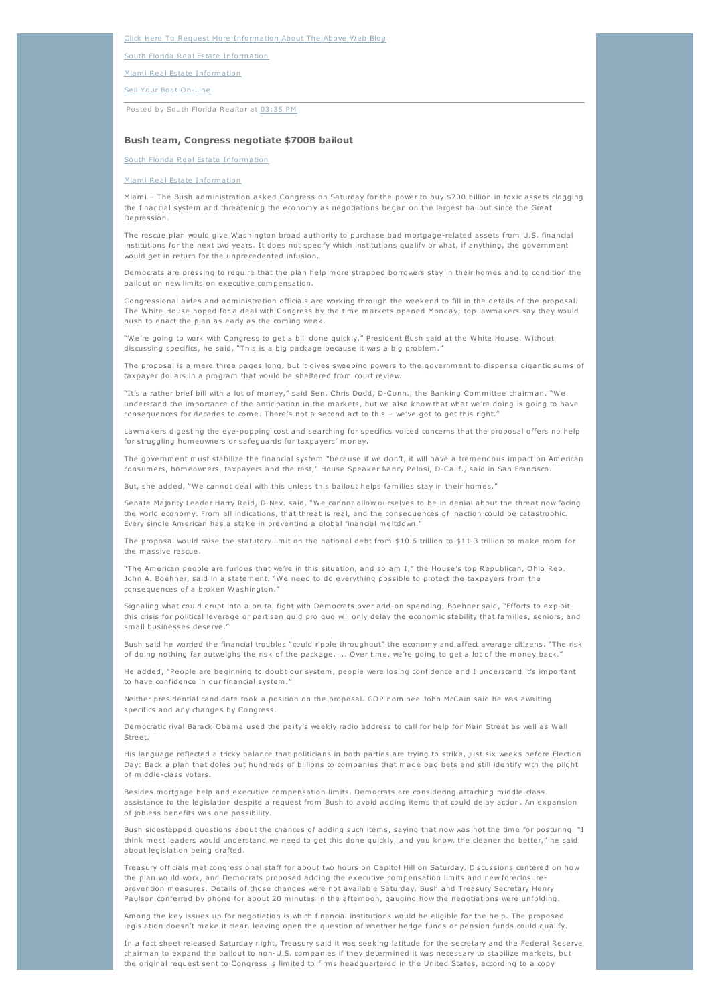Click Here To Request More [Information](http://www.resionline.com/megatemplate/requestinfo.asp?origin=preconstruction&id=0705446&PropertyName=More+Information) About The Above Web Blog

South Florida Real Estate [Information](http://www.south-florida-realtor.com)

Miami Real Estate [Information](http://www.gotmiami.com)

Sell Your Boat [On-Line](http://www.sellaboat.com)

Posted by South Florida Realtor at [03:35](#page-0-0) PM

# <span id="page-1-0"></span>**Bush team, Congress negotiate \$700B bailout**

South Florida Real Estate [Information](http://www.a-realtor.com)

Miami Real Estate [Information](http://www.gotmiami.com)

Miami – The Bush administration asked Congress on Saturday for the power to buy \$700 billion in toxic assets clogging the financial system and threatening the economy as negotiations began on the largest bailout since the Great Depression.

The rescue plan would give Washington broad authority to purchase bad mortgage-related assets from U.S. financial institutions for the next two years. It does not specify which institutions qualify or what, if anything, the government would get in return for the unprecedented infusion.

Democrats are pressing to require that the plan help more strapped borrowers stay in their homes and to condition the bailout on new limits on executive compensation.

Congressional aides and administration officials are working through the weekend to fill in the details of the proposal. The White House hoped for a deal with Congress by the time markets opened Monday; top lawmakers say they would push to enact the plan as early as the coming week.

"We're going to work with Congress to get a bill done quickly," President Bush said at the White House. Without discussing specifics, he said, "This is a big package because it was a big problem."

The proposal is a mere three pages long, but it gives sweeping powers to the government to dispense gigantic sums of taxpayer dollars in a program that would be sheltered from court review.

"It's a rather brief bill with a lot of money," said Sen. Chris Dodd, D-Conn., the Banking Committee chairman. "We understand the importance of the anticipation in the markets, but we also know that what we're doing is going to have consequences for decades to come. There's not a second act to this – we've got to get this right."

Lawmakers digesting the eye-popping cost and searching for specifics voiced concerns that the proposal offers no help for struggling homeowners or safeguards for taxpayers' money.

The government must stabilize the financial system "because if we don't, it will have a tremendous impact on American consumers, homeowners, taxpayers and the rest," House Speaker Nancy Pelosi, D-Calif., said in San Francisco.

But, she added, "We cannot deal with this unless this bailout helps families stay in their homes."

Senate Majority Leader Harry Reid, D-Nev. said, "We cannot allow ourselves to be in denial about the threat now facing the world economy. From all indications, that threat is real, and the consequences of inaction could be catastrophic. Every single American has a stake in preventing a global financial meltdown."

The proposal would raise the statutory limit on the national debt from \$10.6 trillion to \$11.3 trillion to make room for the massive rescue.

"The American people are furious that we're in this situation, and so am I," the House's top Republican, Ohio Rep. John A. Boehner, said in a statement. "We need to do everything possible to protect the taxpayers from the consequences of a broken Washington."

Signaling what could erupt into a brutal fight with Democrats over add-on spending, Boehner said, "Efforts to exploit this crisis for political leverage or partisan quid pro quo will only delay the economic stability that families, seniors, and small businesses deserve."

Bush said he worried the financial troubles "could ripple throughout" the economy and affect average citizens. "The risk of doing nothing far outweighs the risk of the package. ... Over time, we're going to get a lot of the money back."

He added, "People are beginning to doubt our system, people were losing confidence and I understand it's important to have confidence in our financial system.

Neither presidential candidate took a position on the proposal. GOP nominee John McCain said he was awaiting specifics and any changes by Congress.

Democratic rival Barack Obama used the party's weekly radio address to call for help for Main Street as well as Wall Street.

His language reflected a tricky balance that politicians in both parties are trying to strike, just six weeks before Election Day: Back a plan that doles out hundreds of billions to companies that made bad bets and still identify with the plight of middle-class voters.

Besides mortgage help and executive compensation limits, Democrats are considering attaching middle-class assistance to the legislation despite a request from Bush to avoid adding items that could delay action. An expansion of jobless benefits was one possibility.

Bush sidestepped questions about the chances of adding such items, saying that now was not the time for posturing. "I think most leaders would understand we need to get this done quickly, and you know, the cleaner the better," he said about legislation being drafted.

Treasury officials met congressional staff for about two hours on Capitol Hill on Saturday. Discussions centered on how the plan would work, and Democrats proposed adding the executive compensation limits and new foreclosureprevention measures. Details of those changes were not available Saturday. Bush and Treasury Secretary Henry Paulson conferred by phone for about 20 minutes in the afternoon, gauging how the negotiations were unfolding.

Among the key issues up for negotiation is which financial institutions would be eligible for the help. The proposed legislation doesn't make it clear, leaving open the question of whether hedge funds or pension funds could qualify.

In a fact sheet released Saturday night, Treasury said it was seeking latitude for the secretary and the Federal Reserve chairman to expand the bailout to non-U.S. companies if they determined it was necessary to stabilize markets, but the original request sent to Congress is limited to firms headquartered in the United States, according to a copy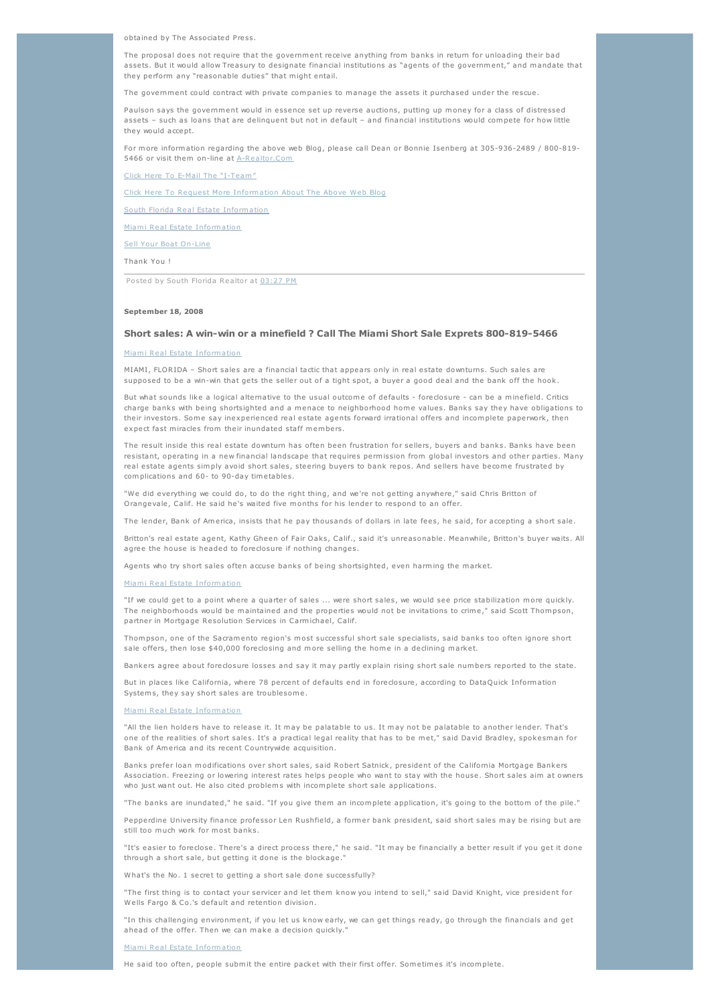obtained by The Associated Press.

The proposal does not require that the government receive anything from banks in return for unloading their bad assets. But it would allow Treasury to designate financial institutions as "agents of the government," and mandate that they perform any "reasonable duties" that might entail.

The government could contract with private companies to manage the assets it purchased under the rescue.

Paulson says the government would in essence set up reverse auctions, putting up money for a class of distressed assets – such as loans that are delinquent but not in default – and financial institutions would compete for how little they would accept.

For more information regarding the above web Blog, please call Dean or Bonnie Isenberg at 305-936-2489 / 800-819- 5466 or visit them on-line at [A-Realtor.Com](http://www.a-realtor.com)

Click Here To E-Mail The ["I-Team"](mailto:DeanIsenberg@Gmail.Com?subject=More Information About This Web Blog)

Click Here To Request More [Information](http://www.resionline.com/megatemplate/requestinfo.asp?origin=preconstruction&id=0705446&PropertyName=More+Information) About The Above Web Blog

South Florida Real Estate [Information](http://www.south-florida-realtor.com)

Miami Real Estate [Information](http://www.gotmiami.com)

Sell Your Boat [On-Line](http://www.sellaboat.com)

Thank You !

Posted by South Florida Realtor at [03:27](#page-1-0) PM

### **September 18, 2008**

# <span id="page-2-0"></span>**Short sales: A win-win or a minefield ? Call The Miami Short Sale Exprets 800-819-5466**

### Miami Real Estate [Information](http://www.gotmiami.com)

MIAMI, FLORIDA – Short sales are a financial tactic that appears only in real estate downturns. Such sales are supposed to be a win-win that gets the seller out of a tight spot, a buyer a good deal and the bank off the hook.

But what sounds like a logical alternative to the usual outcome of defaults - foreclosure - can be a minefield. Critics charge banks with being shortsighted and a menace to neighborhood home values. Banks say they have obligations to their investors. Some say inexperienced real estate agents forward irrational offers and incomplete paperwork, then expect fast miracles from their inundated staff members.

The result inside this real estate downturn has often been frustration for sellers, buyers and banks. Banks have been resistant, operating in a new financial landscape that requires permission from global investors and other parties. Many real estate agents simply avoid short sales, steering buyers to bank repos. And sellers have become frustrated by complications and 60- to 90-day timetables.

"We did everything we could do, to do the right thing, and we're not getting anywhere," said Chris Britton of Orangevale, Calif. He said he's waited five months for his lender to respond to an offer.

The lender, Bank of America, insists that he pay thousands of dollars in late fees, he said, for accepting a short sale.

Britton's real estate agent, Kathy Gheen of Fair Oaks, Calif., said it's unreasonable. Meanwhile, Britton's buyer waits. All agree the house is headed to foreclosure if nothing changes.

Agents who try short sales often accuse banks of being shortsighted, even harming the market.

#### Miami Real Estate [Information](http://www.gotmiami.com)

"If we could get to a point where a quarter of sales ... were short sales, we would see price stabilization more quickly. The neighborhoods would be maintained and the properties would not be invitations to crime," said Scott Thompson, partner in Mortgage Resolution Services in Carmichael, Calif.

Thompson, one of the Sacramento region's most successful short sale specialists, said banks too often ignore short sale offers, then lose \$40,000 foreclosing and more selling the home in a declining market.

Bankers agree about foreclosure losses and say it may partly explain rising short sale numbers reported to the state.

But in places like California, where 78 percent of defaults end in foreclosure, according to DataQuick Information Systems, they say short sales are troublesome.

### Miami Real Estate [Information](http://www.gotmiami.com)

"All the lien holders have to release it. It may be palatable to us. It may not be palatable to another lender. That's one of the realities of short sales. It's a practical legal reality that has to be met," said David Bradley, spokesman for Bank of America and its recent Countrywide acquisition.

Banks prefer loan modifications over short sales, said Robert Satnick, president of the California Mortgage Bankers Association. Freezing or lowering interest rates helps people who want to stay with the house. Short sales aim at owners who just want out. He also cited problems with incomplete short sale applications.

"The banks are inundated," he said. "If you give them an incomplete application, it's going to the bottom of the pile."

Pepperdine University finance professor Len Rushfield, a former bank president, said short sales may be rising but are still too much work for most banks.

"It's easier to foreclose. There's a direct process there," he said. "It may be financially a better result if you get it done through a short sale, but getting it done is the blockage."

What's the No. 1 secret to getting a short sale done successfully?

"The first thing is to contact your servicer and let them know you intend to sell," said David Knight, vice president for Wells Fargo & Co.'s default and retention division.

"In this challenging environment, if you let us know early, we can get things ready, go through the financials and get ahead of the offer. Then we can make a decision quickly.

#### Miami Real Estate [Information](http://www.gotmiami.com)

He said too often, people submit the entire packet with their first offer. Sometimes it's incomplete.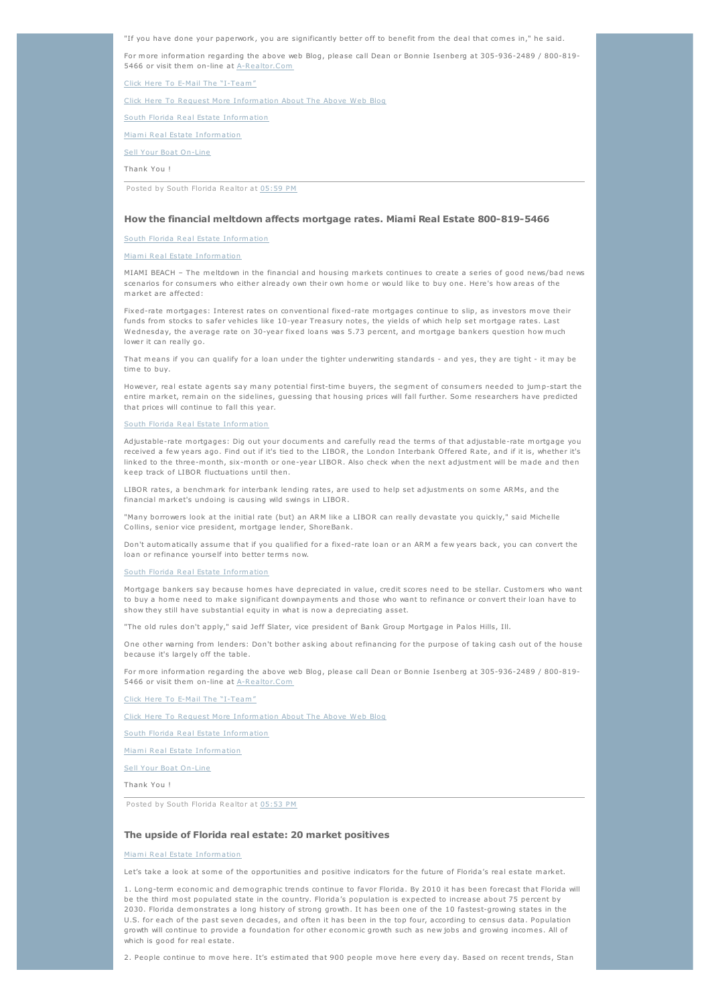"If you have done your paperwork, you are significantly better off to benefit from the deal that comes in," he said.

For more information regarding the above web Blog, please call Dean or Bonnie Isenberg at 305-936-2489 / 800-819- 5466 or visit them on-line at [A-Realtor.Com](http://www.a-realtor.com)

Click Here To E-Mail The ["I-Team"](mailto:DeanIsenberg@Gmail.Com?subject=More Information About This Web Blog)

Click Here To Request More [Information](http://www.resionline.com/megatemplate/requestinfo.asp?origin=preconstruction&id=0705446&PropertyName=More+Information) About The Above Web Blog

South Florida Real Estate [Information](http://www.south-florida-realtor.com)

Miami Real Estate [Information](http://www.gotmiami.com)

Sell Your Boat [On-Line](http://www.sellaboat.com)

Thank You !

Posted by South Florida Realtor at [05:59](#page-2-0) PM

### <span id="page-3-0"></span>**How the financial meltdown affects mortgage rates. Miami Real Estate 800-819-5466**

### South Florida Real Estate [Information](http://www.a-realtor.com)

### Miami Real Estate [Information](http://www.gotmiami.com)

MIAMI BEACH – The meltdown in the financial and housing markets continues to create a series of good news/bad news scenarios for consumers who either already own their own home or would like to buy one. Here's how areas of the market are affected:

Fixed-rate mortgages: Interest rates on conventional fixed-rate mortgages continue to slip, as investors move their funds from stocks to safer vehicles like 10-year Treasury notes, the yields of which help set mortgage rates. Last Wednesday, the average rate on 30-year fixed loans was 5.73 percent, and mortgage bankers question how much lower it can really go.

That means if you can qualify for a loan under the tighter underwriting standards - and yes, they are tight - it may be time to buy.

However, real estate agents say many potential first-time buyers, the segment of consumers needed to jump-start the entire market, remain on the sidelines, guessing that housing prices will fall further. Some researchers have predicted that prices will continue to fall this year.

### South Florida Real Estate [Information](http://www.a-realtor.com)

Adjustable-rate mortgages: Dig out your documents and carefully read the terms of that adjustable-rate mortgage you received a few years ago. Find out if it's tied to the LIBOR, the London Interbank Offered Rate, and if it is, whether it's linked to the three-month, six-month or one-year LIBOR. Also check when the next adjustment will be made and then keep track of LIBOR fluctuations until then.

LIBOR rates, a benchmark for interbank lending rates, are used to help set adjustments on some ARMs, and the financial market's undoing is causing wild swings in LIBOR.

"Many borrowers look at the initial rate (but) an ARM like a LIBOR can really devastate you quickly," said Michelle Collins, senior vice president, mortgage lender, ShoreBank.

Don't automatically assume that if you qualified for a fixed-rate loan or an ARM a few years back, you can convert the loan or refinance yourself into better terms now.

### South Florida Real Estate [Information](http://www.a-realtor.com)

Mortgage bankers say because homes have depreciated in value, credit scores need to be stellar. Customers who want to buy a home need to make significant downpayments and those who want to refinance or convert their loan have to show they still have substantial equity in what is now a depreciating asset.

"The old rules don't apply," said Jeff Slater, vice president of Bank Group Mortgage in Palos Hills, Ill.

One other warning from lenders: Don't bother asking about refinancing for the purpose of taking cash out of the house because it's largely off the table.

For more information regarding the above web Blog, please call Dean or Bonnie Isenberg at 305-936-2489 / 800-819- 5466 or visit them on-line at [A-Realtor.Com](http://www.a-realtor.com)

Click Here To E-Mail The ["I-Team"](mailto:DeanIsenberg@Gmail.Com?subject=More Information About This Web Blog)

Click Here To Request More [Information](http://www.resionline.com/megatemplate/requestinfo.asp?origin=preconstruction&id=0705446&PropertyName=More+Information) About The Above Web Blog

South Florida Real Estate [Information](http://www.south-florida-realtor.com)

Miami Real Estate [Information](http://www.gotmiami.com)

Sell Your Boat [On-Line](http://www.sellaboat.com)

Thank You !

Posted by South Florida Realtor at [05:53](#page-3-0) PM

# <span id="page-3-1"></span>**The upside of Florida real estate: 20 market positives**

# Miami Real Estate [Information](http://www.gotmiami.com)

Let's take a look at some of the opportunities and positive indicators for the future of Florida's real estate market.

1. Long-term economic and demographic trends continue to favor Florida. By 2010 it has been forecast that Florida will be the third most populated state in the country. Florida's population is expected to increase about 75 percent by 2030. Florida demonstrates a long history of strong growth. It has been one of the 10 fastest-growing states in the U.S. for each of the past seven decades, and often it has been in the top four, according to census data. Population growth will continue to provide a foundation for other economic growth such as new jobs and growing incomes. All of which is good for real estate.

2. People continue to move here. It's estimated that 900 people move here every day. Based on recent trends, Stan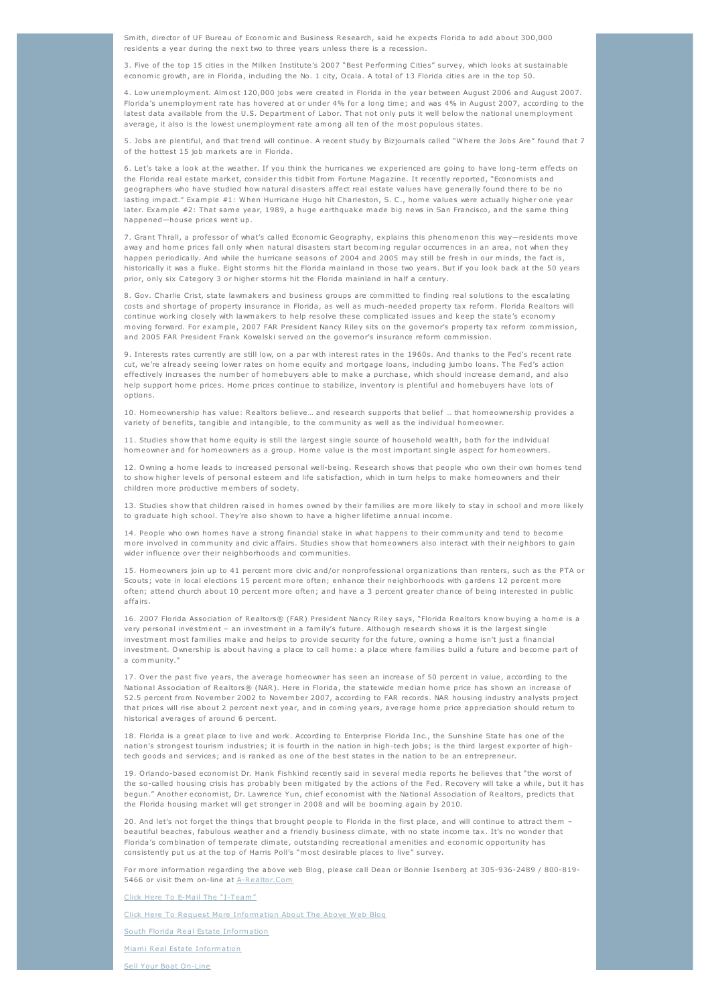Smith, director of UF Bureau of Economic and Business Research, said he expects Florida to add about 300,000 residents a year during the next two to three years unless there is a recession.

3. Five of the top 15 cities in the Milken Institute's 2007 "Best Performing Cities" survey, which looks at sustainable economic growth, are in Florida, including the No. 1 city, Ocala. A total of 13 Florida cities are in the top 50.

4. Low unemployment. Almost 120,000 jobs were created in Florida in the year between August 2006 and August 2007. Florida's unemployment rate has hovered at or under 4% for a long time; and was 4% in August 2007, according to the latest data available from the U.S. Department of Labor. That not only puts it well below the national unemployment average, it also is the lowest unemployment rate among all ten of the most populous states.

5. Jobs are plentiful, and that trend will continue. A recent study by Bizjournals called "Where the Jobs Are" found that 7 of the hottest 15 job markets are in Florida.

6. Let's take a look at the weather. If you think the hurricanes we experienced are going to have long-term effects on the Florida real estate market, consider this tidbit from Fortune Magazine. It recently reported, "Economists and geographers who have studied how natural disasters affect real estate values have generally found there to be no lasting impact." Example #1: When Hurricane Hugo hit Charleston, S. C., home values were actually higher one year later. Example #2: That same year, 1989, a huge earthquake made big news in San Francisco, and the same thing happened—house prices went up.

7. Grant Thrall, a professor of what's called Economic Geography, explains this phenomenon this way—residents move away and home prices fall only when natural disasters start becoming regular occurrences in an area, not when they happen periodically. And while the hurricane seasons of 2004 and 2005 may still be fresh in our minds, the fact is, historically it was a fluke. Eight storms hit the Florida mainland in those two years. But if you look back at the 50 years prior, only six Category 3 or higher storms hit the Florida mainland in half a century.

8. Gov. Charlie Crist, state lawmakers and business groups are committed to finding real solutions to the escalating costs and shortage of property insurance in Florida, as well as much-needed property tax reform. Florida Realtors will continue working closely with lawmakers to help resolve these complicated issues and keep the state's economy moving forward. For example, 2007 FAR President Nancy Riley sits on the governor's property tax reform commission, and 2005 FAR President Frank Kowalski served on the governor's insurance reform commission.

9. Interests rates currently are still low, on a par with interest rates in the 1960s. And thanks to the Fed's recent rate cut, we're already seeing lower rates on home equity and mortgage loans, including jumbo loans. The Fed's action effectively increases the number of homebuyers able to make a purchase, which should increase demand, and also help support home prices. Home prices continue to stabilize, inventory is plentiful and homebuyers have lots of options.

10. Homeownership has value: Realtors believe… and research supports that belief … that homeownership provides a variety of benefits, tangible and intangible, to the community as well as the individual homeowner.

11. Studies show that home equity is still the largest single source of household wealth, both for the individual homeowner and for homeowners as a group. Home value is the most important single aspect for homeowners.

12. Owning a home leads to increased personal well-being. Research shows that people who own their own homes tend to show higher levels of personal esteem and life satisfaction, which in turn helps to make homeowners and their children more productive members of society.

13. Studies show that children raised in homes owned by their families are more likely to stay in school and more likely to graduate high school. They're also shown to have a higher lifetime annual income.

14. People who own homes have a strong financial stake in what happens to their community and tend to become more involved in community and civic affairs. Studies show that homeowners also interact with their neighbors to gain wider influence over their neighborhoods and communities.

15. Homeowners join up to 41 percent more civic and/or nonprofessional organizations than renters, such as the PTA or Scouts; vote in local elections 15 percent more often; enhance their neighborhoods with gardens 12 percent more often; attend church about 10 percent more often; and have a 3 percent greater chance of being interested in public affairs.

16. 2007 Florida Association of Realtors® (FAR) President Nancy Riley says, "Florida Realtors know buying a home is a very personal investment – an investment in a family's future. Although research shows it is the largest single investment most families make and helps to provide security for the future, owning a home isn't just a financial investment. Ownership is about having a place to call home: a place where families build a future and become part of a community."

17. Over the past five years, the average homeowner has seen an increase of 50 percent in value, according to the National Association of Realtors® (NAR). Here in Florida, the statewide median home price has shown an increase of 52.5 percent from November 2002 to November 2007, according to FAR records. NAR housing industry analysts project that prices will rise about 2 percent next year, and in coming years, average home price appreciation should return to historical averages of around 6 percent.

18. Florida is a great place to live and work. According to Enterprise Florida Inc., the Sunshine State has one of the nation's strongest tourism industries; it is fourth in the nation in high-tech jobs; is the third largest exporter of hightech goods and services; and is ranked as one of the best states in the nation to be an entrepreneur.

19. Orlando-based economist Dr. Hank Fishkind recently said in several media reports he believes that "the worst of the so-called housing crisis has probably been mitigated by the actions of the Fed. Recovery will take a while, but it has begun." Another economist, Dr. Lawrence Yun, chief economist with the National Association of Realtors, predicts that the Florida housing market will get stronger in 2008 and will be booming again by 2010.

20. And let's not forget the things that brought people to Florida in the first place, and will continue to attract them – beautiful beaches, fabulous weather and a friendly business climate, with no state income tax. It's no wonder that Florida's combination of temperate climate, outstanding recreational amenities and economic opportunity has consistently put us at the top of Harris Poll's "most desirable places to live" survey.

For more information regarding the above web Blog, please call Dean or Bonnie Isenberg at 305-936-2489 / 800-819- 5466 or visit them on-line at [A-Realtor.Com](http://www.a-realtor.com)

Click Here To E-Mail The ["I-Team"](mailto:DeanIsenberg@Gmail.Com?subject=More Information About This Web Blog)

Click Here To Request More [Information](http://www.resionline.com/megatemplate/requestinfo.asp?origin=preconstruction&id=0705446&PropertyName=More+Information) About The Above Web Blog

South Florida Real Estate [Information](http://www.south-florida-realtor.com)

Miami Real Estate [Information](http://www.gotmiami.com)

Sell Your Boat [On-Line](http://www.sellaboat.com)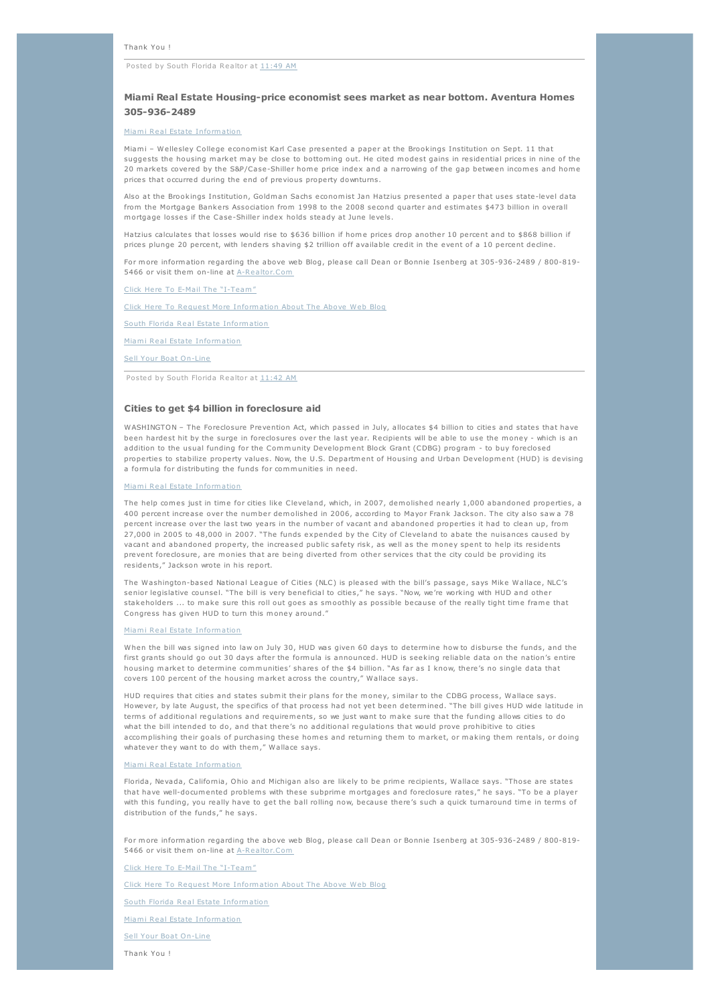### Posted by South Florida Realtor at [11:49](#page-3-1) AM

# <span id="page-5-0"></span>**Miami Real Estate Housing-price economist sees market as near bottom. Aventura Homes 305-936-2489**

### Miami Real Estate [Information](http://www.gotmiami.com)

Miami – Wellesley College economist Karl Case presented a paper at the Brookings Institution on Sept. 11 that suggests the housing market may be close to bottoming out. He cited modest gains in residential prices in nine of the 20 markets covered by the S&P/Case-Shiller home price index and a narrowing of the gap between incomes and home prices that occurred during the end of previous property downturns.

Also at the Brookings Institution, Goldman Sachs economist Jan Hatzius presented a paper that uses state-level data from the Mortgage Bankers Association from 1998 to the 2008 second quarter and estimates \$473 billion in overall mortgage losses if the Case-Shiller index holds steady at June levels.

Hatzius calculates that losses would rise to \$636 billion if home prices drop another 10 percent and to \$868 billion if prices plunge 20 percent, with lenders shaving \$2 trillion off available credit in the event of a 10 percent decline.

For more information regarding the above web Blog, please call Dean or Bonnie Isenberg at 305-936-2489 / 800-819- 5466 or visit them on-line at [A-Realtor.Com](http://www.a-realtor.com)

Click Here To E-Mail The ["I-Team"](mailto:DeanIsenberg@Gmail.Com?subject=More Information About This Web Blog)

Click Here To Request More [Information](http://www.resionline.com/megatemplate/requestinfo.asp?origin=preconstruction&id=0705446&PropertyName=More+Information) About The Above Web Blog

South Florida Real Estate [Information](http://www.south-florida-realtor.com)

Miami Real Estate [Information](http://www.gotmiami.com)

Sell Your Boat [On-Line](http://www.sellaboat.com)

Posted by South Florida Realtor at [11:42](#page-5-0) AM

### <span id="page-5-1"></span>**Cities to get \$4 billion in foreclosure aid**

WASHINGTON - The Foreclosure Prevention Act, which passed in July, allocates \$4 billion to cities and states that have been hardest hit by the surge in foreclosures over the last year. Recipients will be able to use the money - which is an addition to the usual funding for the Community Development Block Grant (CDBG) program - to buy foreclosed properties to stabilize property values. Now, the U.S. Department of Housing and Urban Development (HUD) is devising a formula for distributing the funds for communities in need.

### Miami Real Estate [Information](http://www.gotmiami.com)

The help comes just in time for cities like Cleveland, which, in 2007, demolished nearly 1,000 abandoned properties, a 400 percent increase over the number demolished in 2006, according to Mayor Frank Jackson. The city also saw a 78 percent increase over the last two years in the number of vacant and abandoned properties it had to clean up, from 27,000 in 2005 to 48,000 in 2007. "The funds expended by the City of Cleveland to abate the nuisances caused by vacant and abandoned property, the increased public safety risk, as well as the money spent to help its residents prevent foreclosure, are monies that are being diverted from other services that the city could be providing its residents," Jackson wrote in his report.

The Washington-based National League of Cities (NLC) is pleased with the bill's passage, says Mike Wallace, NLC's senior legislative counsel. "The bill is very beneficial to cities," he says. "Now, we're working with HUD and other stakeholders ... to make sure this roll out goes as smoothly as possible because of the really tight time frame that Congress has given HUD to turn this money around."

### Miami Real Estate [Information](http://www.gotmiami.com)

When the bill was signed into law on July 30, HUD was given 60 days to determine how to disburse the funds, and the first grants should go out 30 days after the formula is announced. HUD is seeking reliable data on the nation's entire housing market to determine communities' shares of the \$4 billion. "As far as I know, there's no single data that covers 100 percent of the housing market across the country," Wallace says.

HUD requires that cities and states submit their plans for the money, similar to the CDBG process, Wallace says. However, by late August, the specifics of that process had not yet been determined. "The bill gives HUD wide latitude in terms of additional regulations and requirements, so we just want to make sure that the funding allows cities to do what the bill intended to do, and that there's no additional regulations that would prove prohibitive to cities accomplishing their goals of purchasing these homes and returning them to market, or making them rentals, or doing whatever they want to do with them," Wallace says.

#### Miami Real Estate [Information](http://www.gotmiami.com)

Florida, Nevada, California, Ohio and Michigan also are likely to be prime recipients, Wallace says. "Those are states that have well-documented problems with these subprime mortgages and foreclosure rates," he says. "To be a player with this funding, you really have to get the ball rolling now, because there's such a quick turnaround time in terms of distribution of the funds," he says.

For more information regarding the above web Blog, please call Dean or Bonnie Isenberg at 305-936-2489 / 800-819- 5466 or visit them on-line at [A-Realtor.Com](http://www.a-realtor.com)

Click Here To E-Mail The ["I-Team"](mailto:DeanIsenberg@Gmail.Com?subject=More Information About This Web Blog)

Click Here To Request More [Information](http://www.resionline.com/megatemplate/requestinfo.asp?origin=preconstruction&id=0705446&PropertyName=More+Information) About The Above Web Blog

South Florida Real Estate [Information](http://www.south-florida-realtor.com)

Miami Real Estate [Information](http://www.gotmiami.com)

Sell Your Boat [On-Line](http://www.sellaboat.com)

Thank You !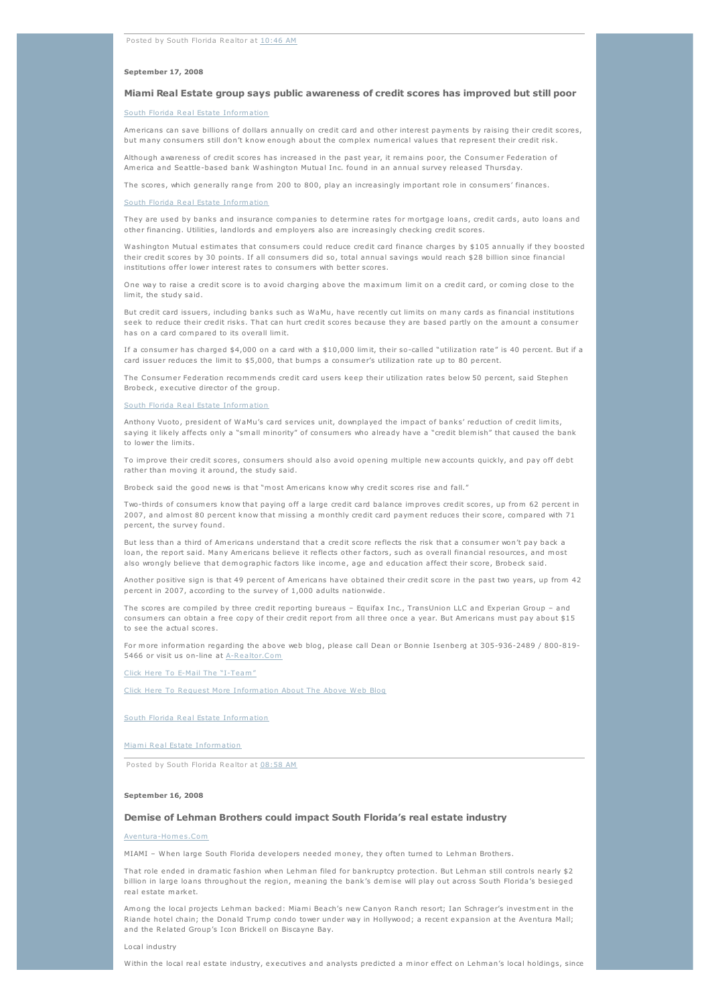### **September 17, 2008**

### <span id="page-6-0"></span>**Miami Real Estate group says public awareness of credit scores has improved but still poor**

#### South Florida Real Estate [Information](http://www.a-realtor.com)

Americans can save billions of dollars annually on credit card and other interest payments by raising their credit scores, but many consumers still don't know enough about the complex numerical values that represent their credit risk.

Although awareness of credit scores has increased in the past year, it remains poor, the Consumer Federation of America and Seattle-based bank Washington Mutual Inc. found in an annual survey released Thursday.

The scores, which generally range from 200 to 800, play an increasingly important role in consumers' finances.

### South Florida Real Estate [Information](http://www.a-realtor.com)

They are used by banks and insurance companies to determine rates for mortgage loans, credit cards, auto loans and other financing. Utilities, landlords and employers also are increasingly checking credit scores.

Washington Mutual estimates that consumers could reduce credit card finance charges by \$105 annually if they boosted their credit scores by 30 points. If all consumers did so, total annual savings would reach \$28 billion since financial institutions offer lower interest rates to consumers with better scores.

One way to raise a credit score is to avoid charging above the maximum limit on a credit card, or coming close to the limit, the study said.

But credit card issuers, including banks such as WaMu, have recently cut limits on many cards as financial institutions seek to reduce their credit risks. That can hurt credit scores because they are based partly on the amount a consumer has on a card compared to its overall limit.

If a consumer has charged \$4,000 on a card with a \$10,000 limit, their so-called "utilization rate" is 40 percent. But if a card issuer reduces the limit to \$5,000, that bumps a consumer's utilization rate up to 80 percent.

The Consumer Federation recommends credit card users keep their utilization rates below 50 percent, said Stephen Brobeck, executive director of the group.

#### South Florida Real Estate [Information](http://www.a-realtor.com)

Anthony Vuoto, president of WaMu's card services unit, downplayed the impact of banks' reduction of credit limits, saying it likely affects only a "small minority" of consumers who already have a "credit blemish" that caused the bank to lower the limits.

To improve their credit scores, consumers should also avoid opening multiple new accounts quickly, and pay off debt rather than moving it around, the study said.

Brobeck said the good news is that "most Americans know why credit scores rise and fall."

Two-thirds of consumers know that paying off a large credit card balance improves credit scores, up from 62 percent in 2007, and almost 80 percent know that missing a monthly credit card payment reduces their score, compared with 71 percent, the survey found.

But less than a third of Americans understand that a credit score reflects the risk that a consumer won't pay back a loan, the report said. Many Americans believe it reflects other factors, such as overall financial resources, and most also wrongly believe that demographic factors like income, age and education affect their score, Brobeck said.

Another positive sign is that 49 percent of Americans have obtained their credit score in the past two years, up from 42 percent in 2007, according to the survey of 1,000 adults nationwide.

The scores are compiled by three credit reporting bureaus – Equifax Inc., TransUnion LLC and Experian Group – and consumers can obtain a free copy of their credit report from all three once a year. But Americans must pay about \$15 to see the actual scores.

For more information regarding the above web blog, please call Dean or Bonnie Isenberg at 305-936-2489 / 800-819- 5466 or visit us on-line at [A-Realtor.Com](http://www.a-realtor.com)

Click Here To E-Mail The ["I-Team"](mailto:Web_Blog@A-Realtor.Com?subject=More Information About This Web Blog)

Click Here To Request More [Information](http://www.resionline.com/megatemplate/requestinfo.asp?origin=preconstruction&id=0705446&PropertyName=More+Information) About The Above Web Blog

### South Florida Real Estate [Information](http://www.south-florida-realtor.com)

### Miami Real Estate [Information](http://www.gotmiami.com)

Posted by South Florida Realtor at [08:58](#page-6-0) AM

# **September 16, 2008**

# <span id="page-6-1"></span>**Demise of Lehman Brothers could impact South Florida's real estate industry**

#### [Aventura-Homes.Com](http://www.aventura-homes.com)

MIAMI – When large South Florida developers needed money, they often turned to Lehman Brothers.

That role ended in dramatic fashion when Lehman filed for bankruptcy protection. But Lehman still controls nearly \$2 billion in large loans throughout the region, meaning the bank's demise will play out across South Florida's besieged real estate market.

Among the local projects Lehman backed: Miami Beach's new Canyon Ranch resort; Ian Schrager's investment in the Riande hotel chain; the Donald Trump condo tower under way in Hollywood; a recent expansion at the Aventura Mall; and the Related Group's Icon Brickell on Biscayne Bay.

### Local industry

Within the local real estate industry, executives and analysts predicted a minor effect on Lehman's local holdings, since